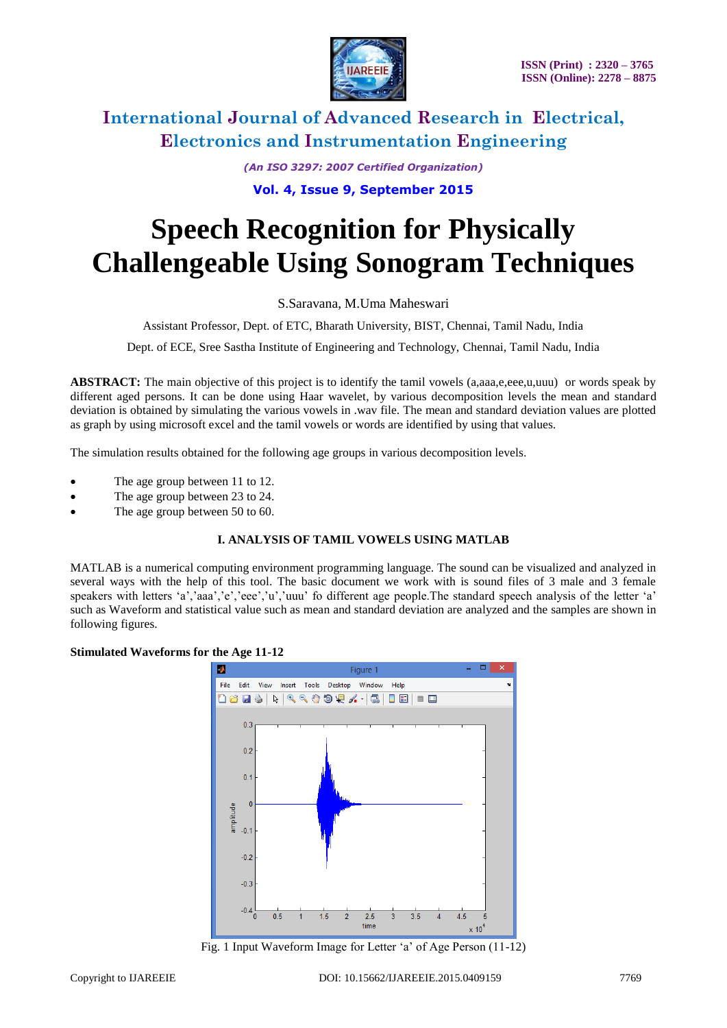

*(An ISO 3297: 2007 Certified Organization)*

### **Vol. 4, Issue 9, September 2015**

# **Speech Recognition for Physically Challengeable Using Sonogram Techniques**

S.Saravana, M.Uma Maheswari

Assistant Professor, Dept. of ETC, Bharath University, BIST, Chennai, Tamil Nadu, India

Dept. of ECE, Sree Sastha Institute of Engineering and Technology, Chennai, Tamil Nadu, India

**ABSTRACT:** The main objective of this project is to identify the tamil vowels (a,aaa,e,eee,u,uuu) or words speak by different aged persons. It can be done using Haar wavelet, by various decomposition levels the mean and standard deviation is obtained by simulating the various vowels in .wav file. The mean and standard deviation values are plotted as graph by using microsoft excel and the tamil vowels or words are identified by using that values.

The simulation results obtained for the following age groups in various decomposition levels.

- The age group between 11 to 12.
- The age group between 23 to 24.
- The age group between 50 to 60.

### **I. ANALYSIS OF TAMIL VOWELS USING MATLAB**

MATLAB is a numerical computing environment programming language. The sound can be visualized and analyzed in several ways with the help of this tool. The basic document we work with is sound files of 3 male and 3 female speakers with letters 'a','aaa','e','eee','u','uuu' fo different age people.The standard speech analysis of the letter 'a' such as Waveform and statistical value such as mean and standard deviation are analyzed and the samples are shown in following figures.

#### **Stimulated Waveforms for the Age 11-12**



Fig. 1 Input Waveform Image for Letter 'a' of Age Person (11-12)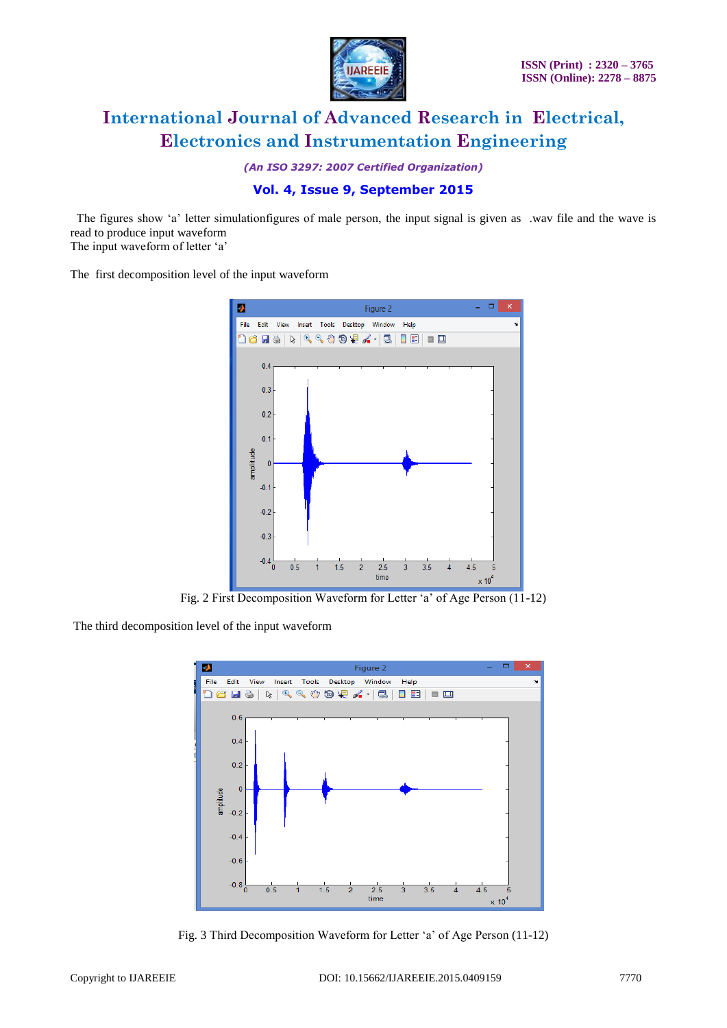

*(An ISO 3297: 2007 Certified Organization)*

### **Vol. 4, Issue 9, September 2015**

 The figures show 'a' letter simulationfigures of male person, the input signal is given as .wav file and the wave is read to produce input waveform

The input waveform of letter 'a'

The first decomposition level of the input waveform



Fig. 2 First Decomposition Waveform for Letter 'a' of Age Person (11-12)

The third decomposition level of the input waveform



Fig. 3 Third Decomposition Waveform for Letter 'a' of Age Person (11-12)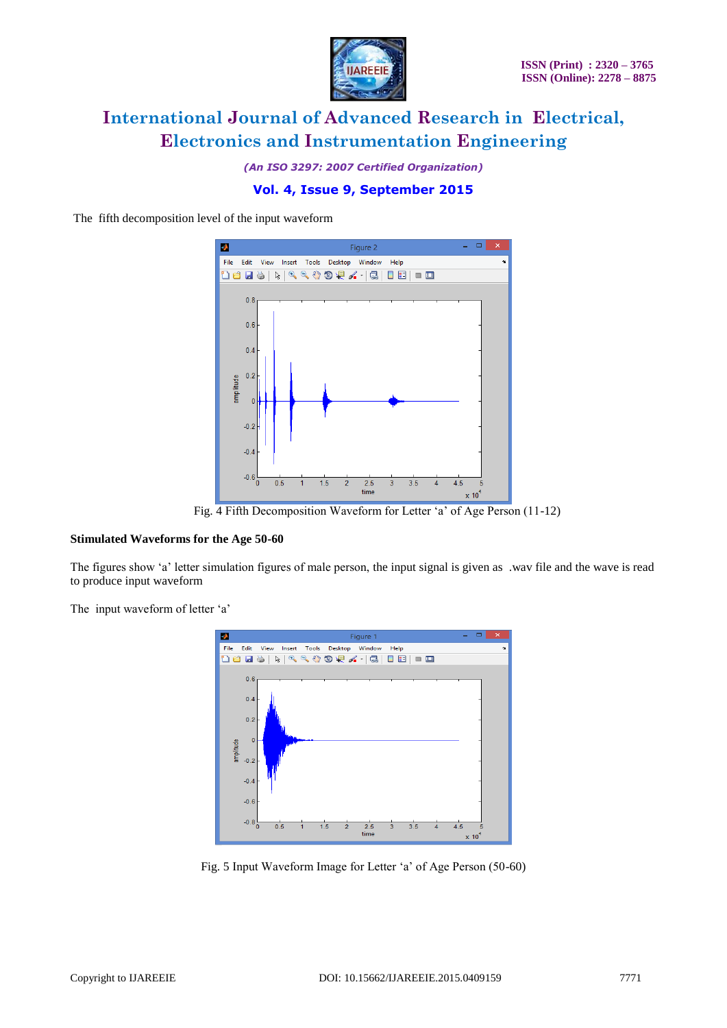

*(An ISO 3297: 2007 Certified Organization)*

## **Vol. 4, Issue 9, September 2015**

The fifth decomposition level of the input waveform



Fig. 4 Fifth Decomposition Waveform for Letter 'a' of Age Person (11-12)

#### **Stimulated Waveforms for the Age 50-60**

The figures show 'a' letter simulation figures of male person, the input signal is given as .wav file and the wave is read to produce input waveform

The input waveform of letter 'a'



Fig. 5 Input Waveform Image for Letter 'a' of Age Person (50-60)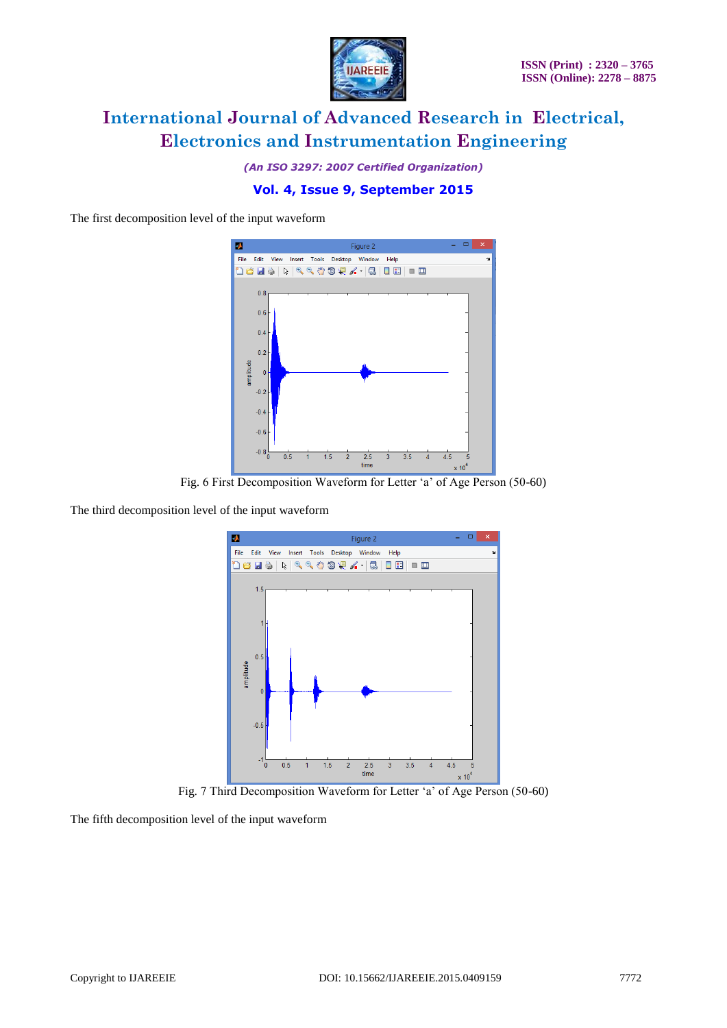

*(An ISO 3297: 2007 Certified Organization)*

## **Vol. 4, Issue 9, September 2015**

The first decomposition level of the input waveform



Fig. 6 First Decomposition Waveform for Letter 'a' of Age Person (50-60)

The third decomposition level of the input waveform



Fig. 7 Third Decomposition Waveform for Letter 'a' of Age Person (50-60)

The fifth decomposition level of the input waveform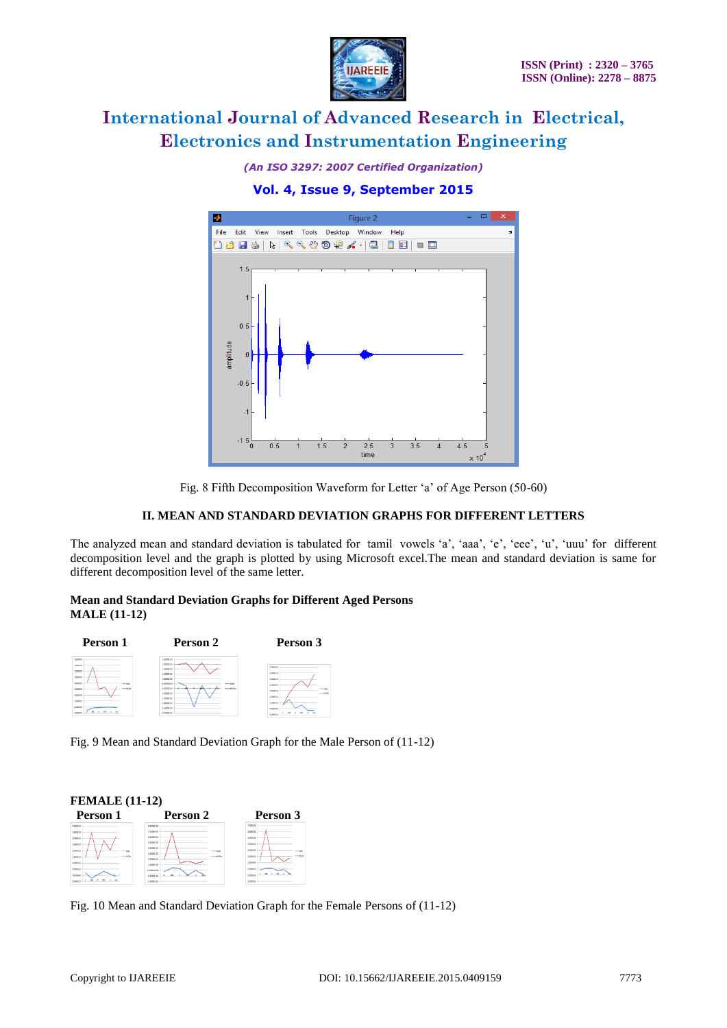

*(An ISO 3297: 2007 Certified Organization)*

# **Vol. 4, Issue 9, September 2015**



Fig. 8 Fifth Decomposition Waveform for Letter 'a' of Age Person (50-60)

### **II. MEAN AND STANDARD DEVIATION GRAPHS FOR DIFFERENT LETTERS**

The analyzed mean and standard deviation is tabulated for tamil vowels 'a', 'aaa', 'e', 'eee', 'u', 'uuu' for different decomposition level and the graph is plotted by using Microsoft excel.The mean and standard deviation is same for different decomposition level of the same letter.

#### **Mean and Standard Deviation Graphs for Different Aged Persons MALE (11-12)**



Fig. 9 Mean and Standard Deviation Graph for the Male Person of (11-12)



Fig. 10 Mean and Standard Deviation Graph for the Female Persons of (11-12)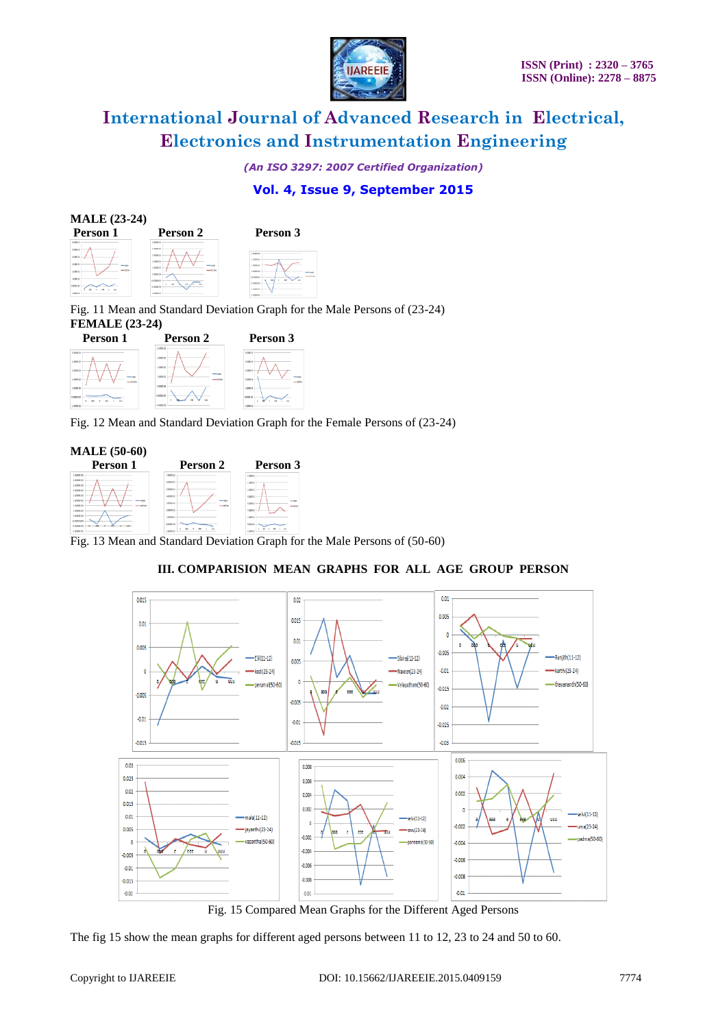

*(An ISO 3297: 2007 Certified Organization)*

## **Vol. 4, Issue 9, September 2015**

| <b>MALE</b> (23-24)                                                                                                              |                                                                                                                                                       |                                                                                                                   |
|----------------------------------------------------------------------------------------------------------------------------------|-------------------------------------------------------------------------------------------------------------------------------------------------------|-------------------------------------------------------------------------------------------------------------------|
| Person 1                                                                                                                         | Person 2                                                                                                                                              | Person 3                                                                                                          |
| 1,0009-02<br>1,0000.00<br>4.0005-02<br>5.0000 GD<br>$-144$<br>$-$ of $3n$<br>1008040<br>1,0089-02<br>12005-00<br>$1.00097$ $(2)$ | 1,0089-02<br>2.5000 GD<br>10005-02<br>1,5088-02<br>$- 144$<br>1,0009.02<br>$-80n$<br>1.0009.01<br>0.0086-00<br><b>STATE</b><br>Accept de<br>100000002 | 17099-01<br>3 NORTH OR<br>10088-0<br>S. OORNEJAN<br><b>EXHIBITION</b><br><b>STATE</b><br>A DOME ON<br>$-15000000$ |

Fig. 11 Mean and Standard Deviation Graph for the Male Persons of (23-24) **FEMALE (23-24)**



Fig. 12 Mean and Standard Deviation Graph for the Female Persons of (23-24)



Fig. 13 Mean and Standard Deviation Graph for the Male Persons of (50-60)



### **III. COMPARISION MEAN GRAPHS FOR ALL AGE GROUP PERSON**

Fig. 15 Compared Mean Graphs for the Different Aged Persons

The fig 15 show the mean graphs for different aged persons between 11 to 12, 23 to 24 and 50 to 60.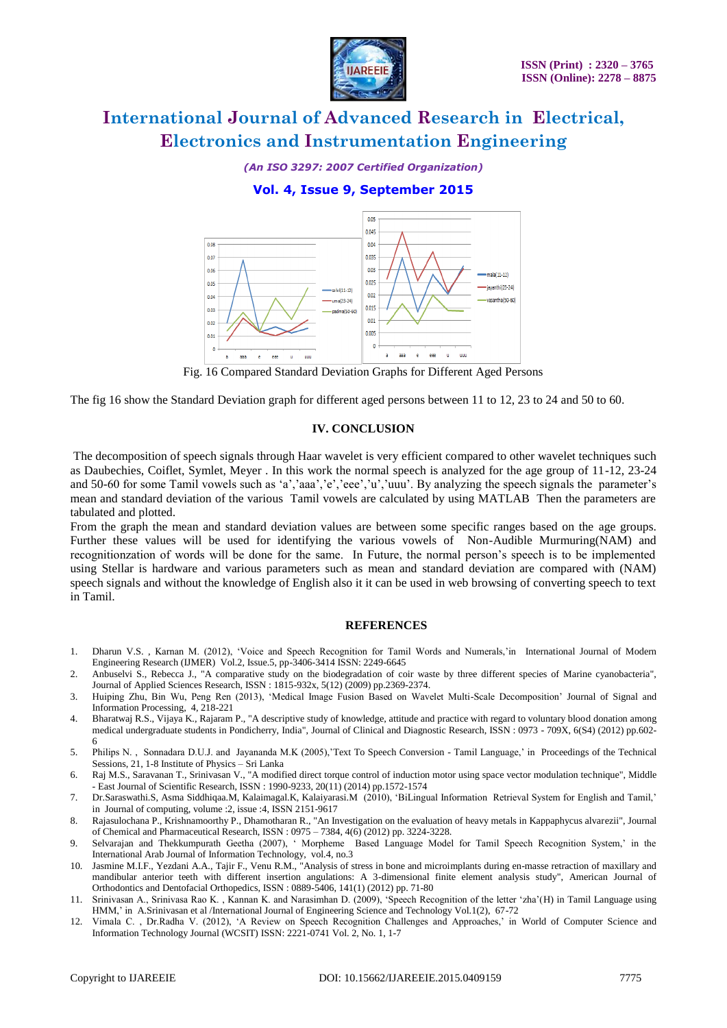

*(An ISO 3297: 2007 Certified Organization)*

### **Vol. 4, Issue 9, September 2015**



Fig. 16 Compared Standard Deviation Graphs for Different Aged Persons

The fig 16 show the Standard Deviation graph for different aged persons between 11 to 12, 23 to 24 and 50 to 60.

#### **IV. CONCLUSION**

The decomposition of speech signals through Haar wavelet is very efficient compared to other wavelet techniques such as Daubechies, Coiflet, Symlet, Meyer . In this work the normal speech is analyzed for the age group of 11-12, 23-24 and 50-60 for some Tamil vowels such as 'a','aaa','e','eee','u','uuu'. By analyzing the speech signals the parameter's mean and standard deviation of the various Tamil vowels are calculated by using MATLAB Then the parameters are tabulated and plotted.

From the graph the mean and standard deviation values are between some specific ranges based on the age groups. Further these values will be used for identifying the various vowels of Non-Audible Murmuring(NAM) and recognitionzation of words will be done for the same. In Future, the normal person's speech is to be implemented using Stellar is hardware and various parameters such as mean and standard deviation are compared with (NAM) speech signals and without the knowledge of English also it it can be used in web browsing of converting speech to text in Tamil.

#### **REFERENCES**

- 1. Dharun V.S. , Karnan M. (2012), 'Voice and Speech Recognition for Tamil Words and Numerals,'in International Journal of Modern Engineering Research (IJMER) Vol.2, Issue.5, pp-3406-3414 ISSN: 2249-6645
- 2. Anbuselvi S., Rebecca J., "A comparative study on the biodegradation of coir waste by three different species of Marine cyanobacteria", Journal of Applied Sciences Research, ISSN : 1815-932x, 5(12) (2009) pp.2369-2374.
- 3. Huiping Zhu, Bin Wu, Peng Ren (2013), 'Medical Image Fusion Based on Wavelet Multi-Scale Decomposition' Journal of Signal and Information Processing, 4, 218-221
- 4. Bharatwaj R.S., Vijaya K., Rajaram P., "A descriptive study of knowledge, attitude and practice with regard to voluntary blood donation among medical undergraduate students in Pondicherry, India", Journal of Clinical and Diagnostic Research, ISSN : 0973 - 709X, 6(S4) (2012) pp.602- 6
- 5. Philips N. , Sonnadara D.U.J. and Jayananda M.K (2005),'Text To Speech Conversion Tamil Language,' in Proceedings of the Technical Sessions, 21, 1-8 Institute of Physics – Sri Lanka
- 6. Raj M.S., Saravanan T., Srinivasan V., "A modified direct torque control of induction motor using space vector modulation technique", Middle - East Journal of Scientific Research, ISSN : 1990-9233, 20(11) (2014) pp.1572-1574
- 7. Dr.Saraswathi.S, Asma Siddhiqaa.M, Kalaimagal.K, Kalaiyarasi.M (2010), 'BiLingual Information Retrieval System for English and Tamil,' in Journal of computing, volume :2, issue :4, ISSN 2151‐9617
- 8. Rajasulochana P., Krishnamoorthy P., Dhamotharan R., "An Investigation on the evaluation of heavy metals in Kappaphycus alvarezii", Journal of Chemical and Pharmaceutical Research, ISSN : 0975 – 7384, 4(6) (2012) pp. 3224-3228.
- 9. Selvarajan and Thekkumpurath Geetha (2007), ' Morpheme Based Language Model for Tamil Speech Recognition System,' in the International Arab Journal of Information Technology, vol.4, no.3
- 10. Jasmine M.I.F., Yezdani A.A., Tajir F., Venu R.M., "Analysis of stress in bone and microimplants during en-masse retraction of maxillary and mandibular anterior teeth with different insertion angulations: A 3-dimensional finite element analysis study", American Journal of Orthodontics and Dentofacial Orthopedics, ISSN : 0889-5406, 141(1) (2012) pp. 71-80
- 11. Srinivasan A., Srinivasa Rao K. , Kannan K. and Narasimhan D. (2009), 'Speech Recognition of the letter 'zha'(H) in Tamil Language using HMM,' in A.Srinivasan et al /International Journal of Engineering Science and Technology Vol.1(2), 67-72
- 12. Vimala C. , Dr.Radha V. (2012), 'A Review on Speech Recognition Challenges and Approaches,' in World of Computer Science and Information Technology Journal (WCSIT) ISSN: 2221-0741 Vol. 2, No. 1, 1-7